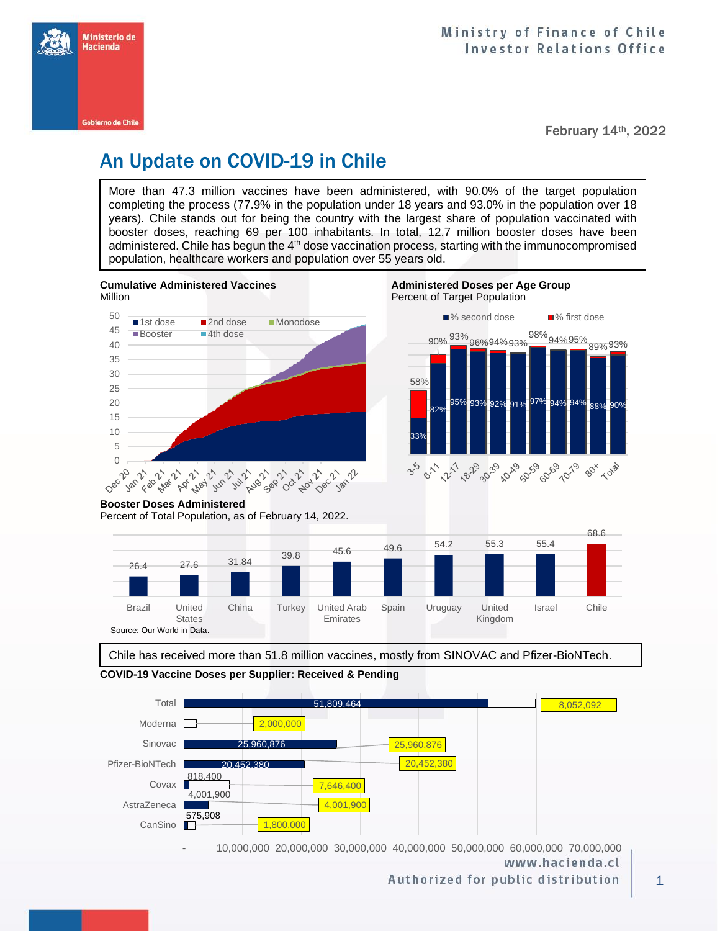

February 14th, 2022

## An Update on COVID-19 in Chile

More than 47.3 million vaccines have been administered, with 90.0% of the target population completing the process (77.9% in the population under 18 years and 93.0% in the population over 18 years). Chile stands out for being the country with the largest share of population vaccinated with booster doses, reaching 69 per 100 inhabitants. In total, 12.7 million booster doses have been administered. Chile has begun the 4<sup>th</sup> dose vaccination process, starting with the immunocompromised population, healthcare workers and population over 55 years old.





**Cumulative Administered Vaccines Administered Doses per Age Group** 



Authorized for public distribution

**Booster Doses Administered**

Percent of Total Population, as of February 14, 2022.



Chile has received more than 51.8 million vaccines, mostly from SINOVAC and Pfizer-BioNTech.

**COVID-19 Vaccine Doses per Supplier: Received & Pending**

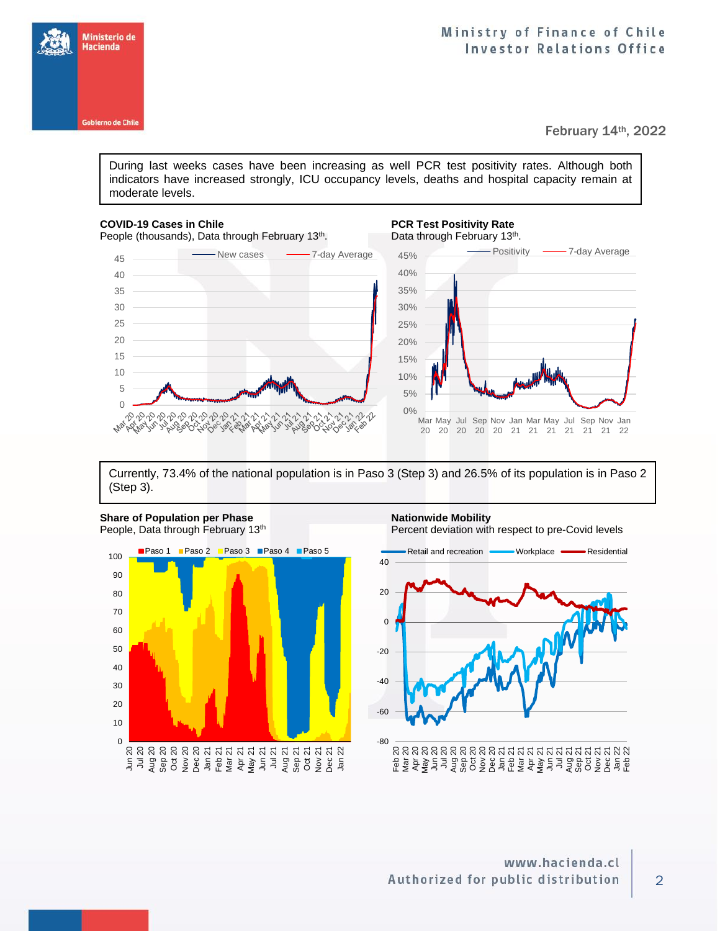



February 14th, 2022

During last weeks cases have been increasing as well PCR test positivity rates. Although both indicators have increased strongly, ICU occupancy levels, deaths and hospital capacity remain at moderate levels.

## **COVID-19 Cases in Chile PCR Test Positivity Rate**



## . Data through February 13<sup>th</sup>.



Currently, 73.4% of the national population is in Paso 3 (Step 3) and 26.5% of its population is in Paso 2 (Step 3).